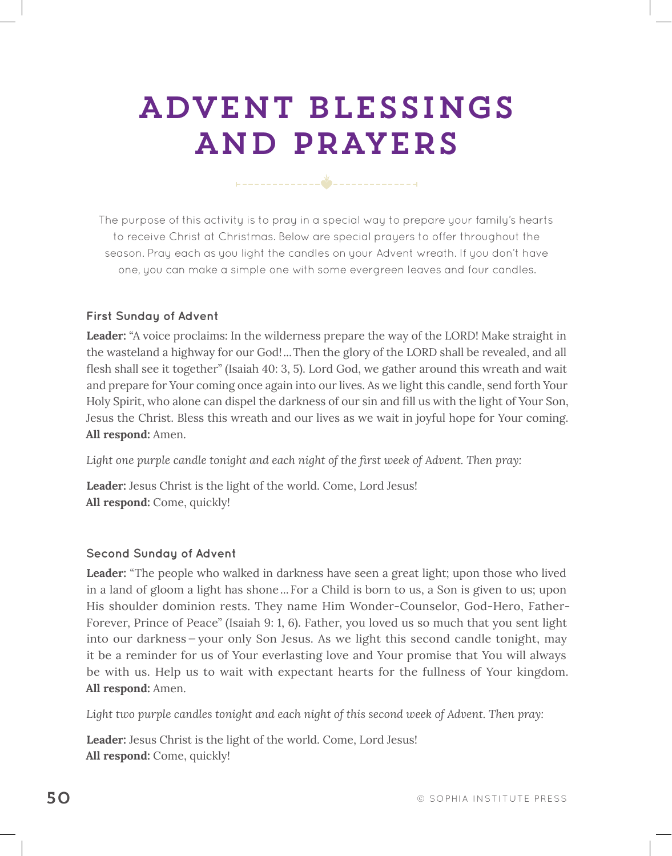# ADVENT BLESSINGS AND PRAYERS

The purpose of this activity is to pray in a special way to prepare your family's hearts to receive Christ at Christmas. Below are special prayers to offer throughout the season. Pray each as you light the candles on your Advent wreath. If you don't have one, you can make a simple one with some evergreen leaves and four candles.

## **First Sunday of Advent**

**Leader:** "A voice proclaims: In the wilderness prepare the way of the LORD! Make straight in the wasteland a highway for our God!...Then the glory of the LORD shall be revealed, and all fesh shall see it together" (Isaiah 40: 3, 5). Lord God, we gather around this wreath and wait and prepare for Your coming once again into our lives. As we light this candle, send forth Your Holy Spirit, who alone can dispel the darkness of our sin and fll us with the light of Your Son, Jesus the Christ. Bless this wreath and our lives as we wait in joyful hope for Your coming. **All respond:** Amen.

Light one purple candle tonight and each night of the first week of Advent. Then pray:

Leader: Jesus Christ is the light of the world. Come, Lord Jesus! All respond: Come, quickly!

## **Second Sunday of Advent**

Leader: "The people who walked in darkness have seen a great light; upon those who lived in a land of gloom a light has shone...For a Child is born to us, a Son is given to us; upon His shoulder dominion rests. They name Him Wonder-Counselor, God-Hero, Father-Forever, Prince of Peace" (Isaiah 9: 1, 6). Father, you loved us so much that you sent light into our darkness — your only Son Jesus. As we light this second candle tonight, may it be a reminder for us of Your everlasting love and Your promise that You will always be with us. Help us to wait with expectant hearts for the fullness of Your kingdom. **All respond:** Amen.

*Light two purple candles tonight and each night of this second week of Advent. Then pray:*

Leader: Jesus Christ is the light of the world. Come, Lord Jesus! All respond: Come, quickly!